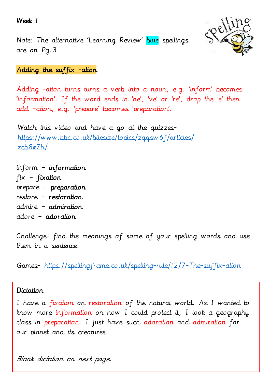Week 1





Adding the suffix -ation

Adding -ation turns turns a verb into a noun, e.g. 'inform' becomes 'information'. If the word ends in 'ne', 've' or 're', drop the 'e' then add –ation, e.g. 'prepare' becomes 'preparation'.

Watch this video and have a go at the quizzes[https://www.bbc.co.uk/bitesize/topics/zqqsw6f/articles/](https://www.bbc.co.uk/bitesize/topics/zqqsw6f/articles/zcb8k7h/) [zcb8k7h/](https://www.bbc.co.uk/bitesize/topics/zqqsw6f/articles/zcb8k7h/)

inform – information  $fix$  –  $fix$  distribution prepare – preparation restore – restoration admire – admiration adore – adoration

Challenge- find the meanings of some of your spelling words and use them in a sentence.

Games- <https://spellingframe.co.uk/spelling-rule/12/7-The-suffix-ation>

## Dictation

I have a <u>fixation</u> on restoration of the natural world. As I wanted to know more information on how I could protect it, I took a geography class in preparation. I just have such adoration and admiration for our planet and its creatures.

Blank dictation on next page.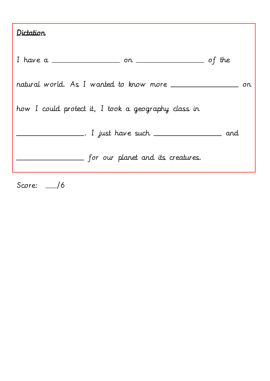| Dictation |
|-----------|
|-----------|

| I have a $\frac{\ }{\ }$ on $\frac{\ }{\ }$         |  |
|-----------------------------------------------------|--|
|                                                     |  |
| how I could protect it, I took a geography class in |  |
|                                                     |  |
| __ for our planet and its creatures.                |  |

Score: \_\_\_\_/6